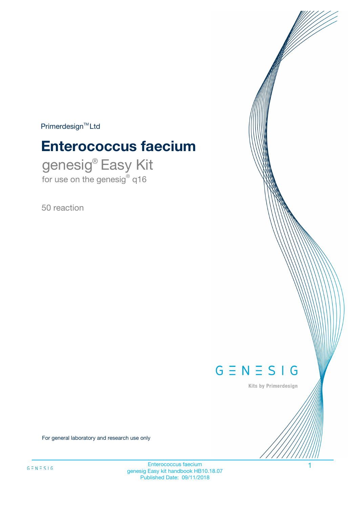$Primerdesign^{\text{TM}}Ltd$ 

# **Enterococcus faecium**

genesig® Easy Kit for use on the genesig® q16

50 reaction



Kits by Primerdesign

For general laboratory and research use only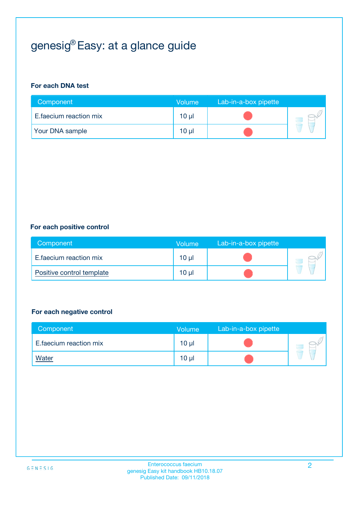# genesig® Easy: at a glance guide

#### **For each DNA test**

| Component              | <b>Volume</b> | Lab-in-a-box pipette |  |
|------------------------|---------------|----------------------|--|
| E.faecium reaction mix | 10 µl         |                      |  |
| <b>Your DNA sample</b> | 10 µl         |                      |  |

#### **For each positive control**

| Component                 | Volume | Lab-in-a-box pipette |  |
|---------------------------|--------|----------------------|--|
| E.faecium reaction mix    | 10 µl  |                      |  |
| Positive control template | 10 µl  |                      |  |

#### **For each negative control**

| Component              | <b>Volume</b>   | Lab-in-a-box pipette |  |
|------------------------|-----------------|----------------------|--|
| E.faecium reaction mix | 10 <sub>µ</sub> |                      |  |
| <u>Water</u>           | 10 <sub>µ</sub> |                      |  |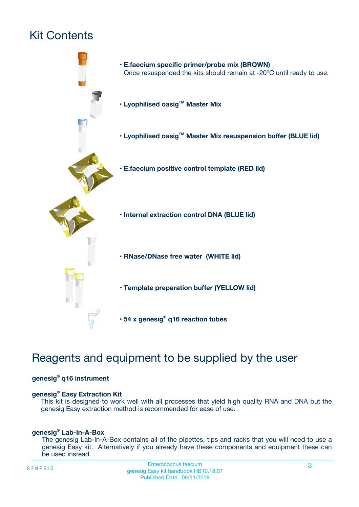# Kit Contents



# Reagents and equipment to be supplied by the user

#### **genesig® q16 instrument**

#### **genesig® Easy Extraction Kit**

This kit is designed to work well with all processes that yield high quality RNA and DNA but the genesig Easy extraction method is recommended for ease of use.

#### **genesig® Lab-In-A-Box**

The genesig Lab-In-A-Box contains all of the pipettes, tips and racks that you will need to use a genesig Easy kit. Alternatively if you already have these components and equipment these can be used instead.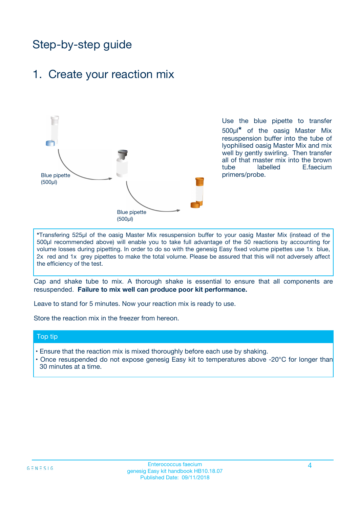# Step-by-step guide

### 1. Create your reaction mix



Use the blue pipette to transfer 500µl**\*** of the oasig Master Mix resuspension buffer into the tube of lyophilised oasig Master Mix and mix well by gently swirling. Then transfer all of that master mix into the brown tube labelled E.faecium primers/probe.

**\***Transfering 525µl of the oasig Master Mix resuspension buffer to your oasig Master Mix (instead of the 500µl recommended above) will enable you to take full advantage of the 50 reactions by accounting for volume losses during pipetting. In order to do so with the genesig Easy fixed volume pipettes use 1x blue, 2x red and 1x grey pipettes to make the total volume. Please be assured that this will not adversely affect the efficiency of the test.

Cap and shake tube to mix. A thorough shake is essential to ensure that all components are resuspended. **Failure to mix well can produce poor kit performance.**

Leave to stand for 5 minutes. Now your reaction mix is ready to use.

Store the reaction mix in the freezer from hereon.

#### Top tip

- Ensure that the reaction mix is mixed thoroughly before each use by shaking.
- **•** Once resuspended do not expose genesig Easy kit to temperatures above -20°C for longer than 30 minutes at a time.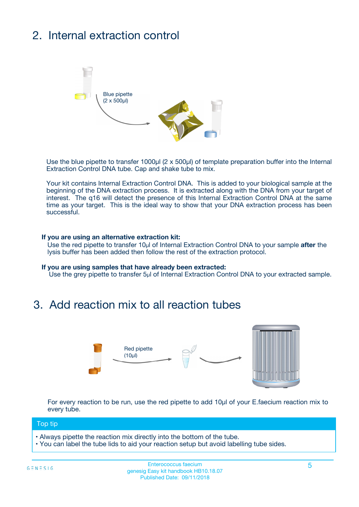# 2. Internal extraction control



Use the blue pipette to transfer 1000µl (2 x 500µl) of template preparation buffer into the Internal Extraction Control DNA tube. Cap and shake tube to mix.

Your kit contains Internal Extraction Control DNA. This is added to your biological sample at the beginning of the DNA extraction process. It is extracted along with the DNA from your target of interest. The q16 will detect the presence of this Internal Extraction Control DNA at the same time as your target. This is the ideal way to show that your DNA extraction process has been **successful.** 

#### **If you are using an alternative extraction kit:**

Use the red pipette to transfer 10µl of Internal Extraction Control DNA to your sample **after** the lysis buffer has been added then follow the rest of the extraction protocol.

#### **If you are using samples that have already been extracted:**

Use the grey pipette to transfer 5µl of Internal Extraction Control DNA to your extracted sample.

## 3. Add reaction mix to all reaction tubes



For every reaction to be run, use the red pipette to add 10µl of your E.faecium reaction mix to every tube.

#### Top tip

- Always pipette the reaction mix directly into the bottom of the tube.
- You can label the tube lids to aid your reaction setup but avoid labelling tube sides.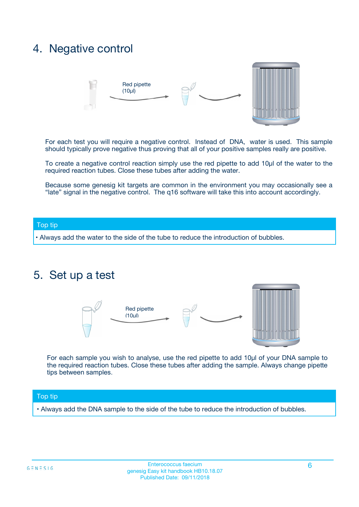## 4. Negative control



For each test you will require a negative control. Instead of DNA, water is used. This sample should typically prove negative thus proving that all of your positive samples really are positive.

To create a negative control reaction simply use the red pipette to add 10µl of the water to the required reaction tubes. Close these tubes after adding the water.

Because some genesig kit targets are common in the environment you may occasionally see a "late" signal in the negative control. The q16 software will take this into account accordingly.

#### Top tip

**•** Always add the water to the side of the tube to reduce the introduction of bubbles.

### 5. Set up a test



For each sample you wish to analyse, use the red pipette to add 10µl of your DNA sample to the required reaction tubes. Close these tubes after adding the sample. Always change pipette tips between samples.

#### Top tip

**•** Always add the DNA sample to the side of the tube to reduce the introduction of bubbles.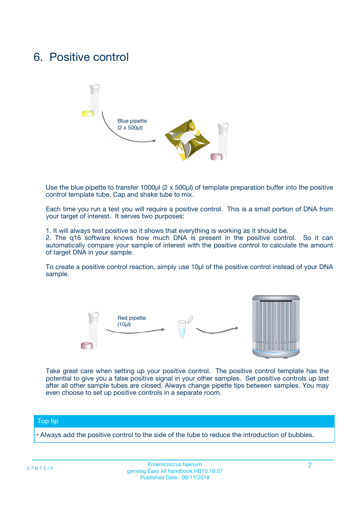## 6. Positive control



Use the blue pipette to transfer 1000µl (2 x 500µl) of template preparation buffer into the positive control template tube. Cap and shake tube to mix.

Each time you run a test you will require a positive control. This is a small portion of DNA from your target of interest. It serves two purposes:

1. It will always test positive so it shows that everything is working as it should be.

2. The q16 software knows how much DNA is present in the positive control. So it can automatically compare your sample of interest with the positive control to calculate the amount of target DNA in your sample.

To create a positive control reaction, simply use 10µl of the positive control instead of your DNA sample.



Take great care when setting up your positive control. The positive control template has the potential to give you a false positive signal in your other samples. Set positive controls up last after all other sample tubes are closed. Always change pipette tips between samples. You may even choose to set up positive controls in a separate room.

#### Top tip

**•** Always add the positive control to the side of the tube to reduce the introduction of bubbles.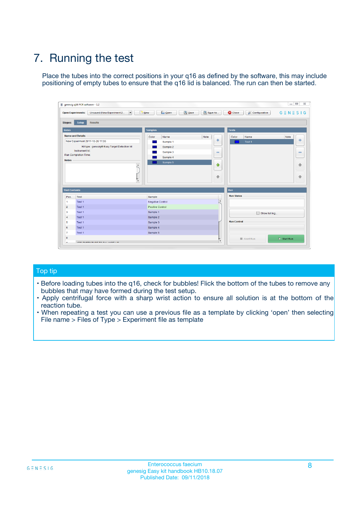# 7. Running the test

Place the tubes into the correct positions in your q16 as defined by the software, this may include positioning of empty tubes to ensure that the q16 lid is balanced. The run can then be started.

| genesig q16 PCR software - 1.2                                               |                                     | $\Box$                                                                                  |
|------------------------------------------------------------------------------|-------------------------------------|-----------------------------------------------------------------------------------------|
| Unsaved (New Experiment 2<br>$\vert \cdot \vert$<br><b>Open Experiments:</b> | <b>D</b> Open<br>Save<br>$\Box$ New | Save As<br><b>C</b> Close<br>$G \equiv N \equiv S \mid G$<br><b>&amp; Configuration</b> |
| Setup<br><b>Results</b><br><b>Stages:</b>                                    |                                     |                                                                                         |
| <b>Notes</b>                                                                 | Samples                             | <b>Tests</b>                                                                            |
| <b>Name and Details</b>                                                      | Color<br>Name                       | Note<br>Color<br>Note<br>Name                                                           |
| New Experiment 2017-10-26 11:06                                              | Sample 1                            | ع<br>条<br>Test 1                                                                        |
| Kit type: genesig® Easy Target Detection kit                                 | Sample 2                            |                                                                                         |
| Instrument Id.:                                                              | Sample 3                            | $\qquad \qquad \blacksquare$<br>$\qquad \qquad \blacksquare$                            |
| Run Completion Time:                                                         | Sample 4                            |                                                                                         |
| <b>Notes</b>                                                                 | Sample 5<br>A<br>v                  | $\triangle$<br>4<br>$\oplus$<br>₩                                                       |
| <b>Well Contents</b>                                                         |                                     | <b>Run</b>                                                                              |
| Pos.<br>Test                                                                 | Sample                              | <b>Run Status</b>                                                                       |
| Test 1<br>-1                                                                 | <b>Negative Control</b>             | $\blacktriangle$                                                                        |
| $\overline{2}$<br>Test 1                                                     | <b>Positive Control</b>             |                                                                                         |
| $\overline{\mathbf{3}}$<br>Test 1                                            | Sample 1                            | Show full log                                                                           |
| Test 1<br>$\overline{4}$                                                     | Sample 2                            |                                                                                         |
| 5<br>Test 1                                                                  | Sample 3                            | <b>Run Control</b>                                                                      |
| 6<br>Test 1                                                                  | Sample 4                            |                                                                                         |
| $\overline{7}$<br>Test 1                                                     | Sample 5                            |                                                                                         |
| 8                                                                            |                                     | $\triangleright$ Start Run<br>Abort Run                                                 |
| <b>JOD FURTY TUDE TO BUILDED IN</b>                                          |                                     | $\overline{\mathbf{v}}$                                                                 |

#### Top tip

- Before loading tubes into the q16, check for bubbles! Flick the bottom of the tubes to remove any bubbles that may have formed during the test setup.
- Apply centrifugal force with a sharp wrist action to ensure all solution is at the bottom of the reaction tube.
- When repeating a test you can use a previous file as a template by clicking 'open' then selecting File name > Files of Type > Experiment file as template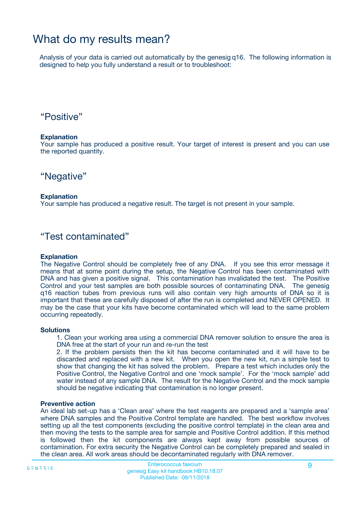## What do my results mean?

Analysis of your data is carried out automatically by the genesig q16. The following information is designed to help you fully understand a result or to troubleshoot:

### "Positive"

#### **Explanation**

Your sample has produced a positive result. Your target of interest is present and you can use the reported quantity.

"Negative"

#### **Explanation**

Your sample has produced a negative result. The target is not present in your sample.

### "Test contaminated"

#### **Explanation**

The Negative Control should be completely free of any DNA. If you see this error message it means that at some point during the setup, the Negative Control has been contaminated with DNA and has given a positive signal. This contamination has invalidated the test. The Positive Control and your test samples are both possible sources of contaminating DNA. The genesig q16 reaction tubes from previous runs will also contain very high amounts of DNA so it is important that these are carefully disposed of after the run is completed and NEVER OPENED. It may be the case that your kits have become contaminated which will lead to the same problem occurring repeatedly.

#### **Solutions**

1. Clean your working area using a commercial DNA remover solution to ensure the area is DNA free at the start of your run and re-run the test

2. If the problem persists then the kit has become contaminated and it will have to be discarded and replaced with a new kit. When you open the new kit, run a simple test to show that changing the kit has solved the problem. Prepare a test which includes only the Positive Control, the Negative Control and one 'mock sample'. For the 'mock sample' add water instead of any sample DNA. The result for the Negative Control and the mock sample should be negative indicating that contamination is no longer present.

#### **Preventive action**

An ideal lab set-up has a 'Clean area' where the test reagents are prepared and a 'sample area' where DNA samples and the Positive Control template are handled. The best workflow involves setting up all the test components (excluding the positive control template) in the clean area and then moving the tests to the sample area for sample and Positive Control addition. If this method is followed then the kit components are always kept away from possible sources of contamination. For extra security the Negative Control can be completely prepared and sealed in the clean area. All work areas should be decontaminated regularly with DNA remover.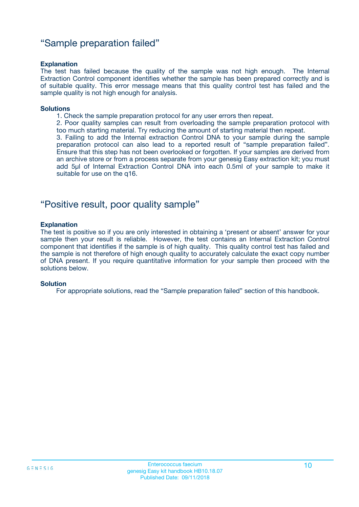### "Sample preparation failed"

#### **Explanation**

The test has failed because the quality of the sample was not high enough. The Internal Extraction Control component identifies whether the sample has been prepared correctly and is of suitable quality. This error message means that this quality control test has failed and the sample quality is not high enough for analysis.

#### **Solutions**

- 1. Check the sample preparation protocol for any user errors then repeat.
- 2. Poor quality samples can result from overloading the sample preparation protocol with too much starting material. Try reducing the amount of starting material then repeat.

3. Failing to add the Internal extraction Control DNA to your sample during the sample preparation protocol can also lead to a reported result of "sample preparation failed". Ensure that this step has not been overlooked or forgotten. If your samples are derived from an archive store or from a process separate from your genesig Easy extraction kit; you must add 5µl of Internal Extraction Control DNA into each 0.5ml of your sample to make it suitable for use on the q16.

### "Positive result, poor quality sample"

#### **Explanation**

The test is positive so if you are only interested in obtaining a 'present or absent' answer for your sample then your result is reliable. However, the test contains an Internal Extraction Control component that identifies if the sample is of high quality. This quality control test has failed and the sample is not therefore of high enough quality to accurately calculate the exact copy number of DNA present. If you require quantitative information for your sample then proceed with the solutions below.

#### **Solution**

For appropriate solutions, read the "Sample preparation failed" section of this handbook.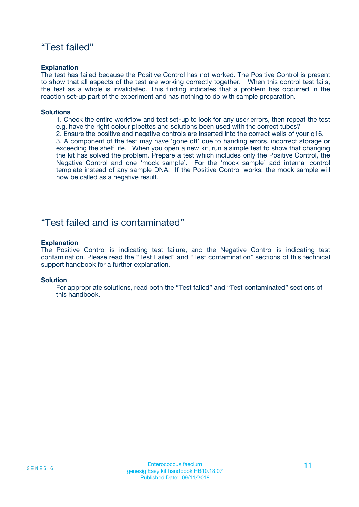### "Test failed"

#### **Explanation**

The test has failed because the Positive Control has not worked. The Positive Control is present to show that all aspects of the test are working correctly together. When this control test fails, the test as a whole is invalidated. This finding indicates that a problem has occurred in the reaction set-up part of the experiment and has nothing to do with sample preparation.

#### **Solutions**

- 1. Check the entire workflow and test set-up to look for any user errors, then repeat the test e.g. have the right colour pipettes and solutions been used with the correct tubes?
- 2. Ensure the positive and negative controls are inserted into the correct wells of your q16.

3. A component of the test may have 'gone off' due to handing errors, incorrect storage or exceeding the shelf life. When you open a new kit, run a simple test to show that changing the kit has solved the problem. Prepare a test which includes only the Positive Control, the Negative Control and one 'mock sample'. For the 'mock sample' add internal control template instead of any sample DNA. If the Positive Control works, the mock sample will now be called as a negative result.

### "Test failed and is contaminated"

#### **Explanation**

The Positive Control is indicating test failure, and the Negative Control is indicating test contamination. Please read the "Test Failed" and "Test contamination" sections of this technical support handbook for a further explanation.

#### **Solution**

For appropriate solutions, read both the "Test failed" and "Test contaminated" sections of this handbook.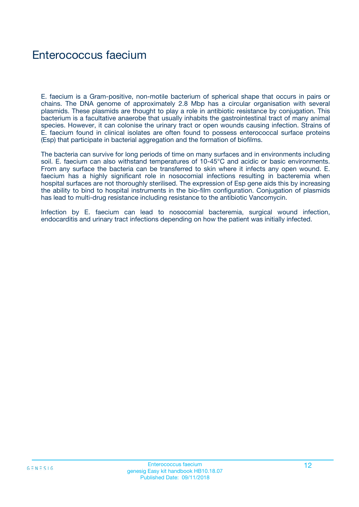# Enterococcus faecium

E. faecium is a Gram-positive, non-motile bacterium of spherical shape that occurs in pairs or chains. The DNA genome of approximately 2.8 Mbp has a circular organisation with several plasmids. These plasmids are thought to play a role in antibiotic resistance by conjugation. This bacterium is a facultative anaerobe that usually inhabits the gastrointestinal tract of many animal species. However, it can colonise the urinary tract or open wounds causing infection. Strains of E. faecium found in clinical isolates are often found to possess enterococcal surface proteins (Esp) that participate in bacterial aggregation and the formation of biofilms.

The bacteria can survive for long periods of time on many surfaces and in environments including soil. E. faecium can also withstand temperatures of 10-45°C and acidic or basic environments. From any surface the bacteria can be transferred to skin where it infects any open wound. E. faecium has a highly significant role in nosocomial infections resulting in bacteremia when hospital surfaces are not thoroughly sterilised. The expression of Esp gene aids this by increasing the ability to bind to hospital instruments in the bio-film configuration. Conjugation of plasmids has lead to multi-drug resistance including resistance to the antibiotic Vancomycin.

Infection by E. faecium can lead to nosocomial bacteremia, surgical wound infection, endocarditis and urinary tract infections depending on how the patient was initially infected.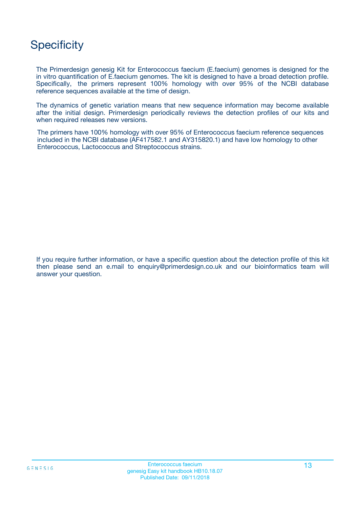# **Specificity**

The Primerdesign genesig Kit for Enterococcus faecium (E.faecium) genomes is designed for the in vitro quantification of E.faecium genomes. The kit is designed to have a broad detection profile. Specifically, the primers represent 100% homology with over 95% of the NCBI database reference sequences available at the time of design.

The dynamics of genetic variation means that new sequence information may become available after the initial design. Primerdesign periodically reviews the detection profiles of our kits and when required releases new versions.

The primers have 100% homology with over 95% of Enterococcus faecium reference sequences included in the NCBI database (AF417582.1 and AY315820.1) and have low homology to other Enterococcus, Lactococcus and Streptococcus strains.

If you require further information, or have a specific question about the detection profile of this kit then please send an e.mail to enquiry@primerdesign.co.uk and our bioinformatics team will answer your question.